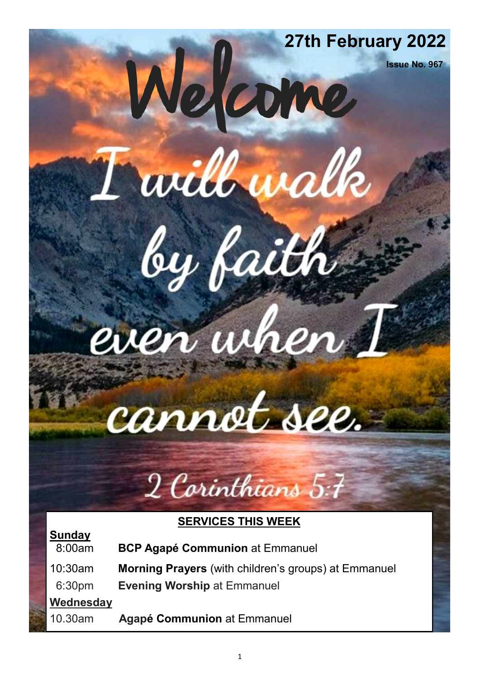## **27th February 2022 Issue No. 967**

even when

Twill walk

by faith

# cannot see.

## 2 Corinthians 5:7

#### **SERVICES THIS WEEK**

| 8:00am             | <b>BCP Agapé Communion at Emmanuel</b>                      |
|--------------------|-------------------------------------------------------------|
| $10:30$ am         | <b>Morning Prayers</b> (with children's groups) at Emmanuel |
| 6:30 <sub>pm</sub> | <b>Evening Worship at Emmanuel</b>                          |
| Wednesday          |                                                             |
| 10.30am            | <b>Agapé Communion at Emmanuel</b>                          |

**Sunday**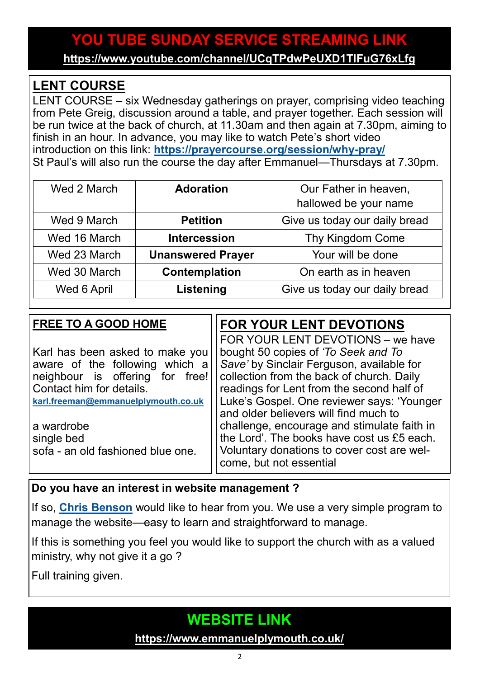#### **YOU TUBE SUNDAY SERVICE STREAMING LINK**

**<https://www.youtube.com/channel/UCqTPdwPeUXD1TIFuG76xLfg>**

#### **LENT COURSE**

LENT COURSE – six Wednesday gatherings on prayer, comprising video teaching from Pete Greig, discussion around a table, and prayer together. Each session will be run twice at the back of church, at 11.30am and then again at 7.30pm, aiming to finish in an hour. In advance, you may like to watch Pete's short video introduction on this link: **[https://prayercourse.org/session/why](https://prayercourse.org/session/why-pray/)-pray/** St Paul's will also run the course the day after Emmanuel—Thursdays at 7.30pm.

| Wed 2 March  | <b>Adoration</b>         | Our Father in heaven,         |
|--------------|--------------------------|-------------------------------|
|              |                          | hallowed be your name         |
| Wed 9 March  | <b>Petition</b>          | Give us today our daily bread |
| Wed 16 March | <b>Intercession</b>      | Thy Kingdom Come              |
| Wed 23 March | <b>Unanswered Prayer</b> | Your will be done             |
| Wed 30 March | Contemplation            | On earth as in heaven         |
| Wed 6 April  | Listening                | Give us today our daily bread |

| bought 50 copies of 'To Seek and To<br>Karl has been asked to make you<br>Save' by Sinclair Ferguson, available for<br>aware of the following which a<br>collection from the back of church. Daily<br>neighbour is offering for free!<br>readings for Lent from the second half of<br>Contact him for details.<br>karl.freeman@emmanuelplymouth.co.uk<br>and older believers will find much to | <b>FREE TO A GOOD HOME</b> | FOR YOUR LENT DEVOTIONS                                                                                                                                                                                                    |
|------------------------------------------------------------------------------------------------------------------------------------------------------------------------------------------------------------------------------------------------------------------------------------------------------------------------------------------------------------------------------------------------|----------------------------|----------------------------------------------------------------------------------------------------------------------------------------------------------------------------------------------------------------------------|
| a wardrobe<br>single bed<br>sofa - an old fashioned blue one.<br>come, but not essential                                                                                                                                                                                                                                                                                                       |                            | FOR YOUR LENT DEVOTIONS - we have<br>Luke's Gospel. One reviewer says: 'Younger<br>challenge, encourage and stimulate faith in<br>the Lord'. The books have cost us £5 each.<br>Voluntary donations to cover cost are wel- |

#### **Do you have an interest in website management ?**

If so, **[Chris Benson](mailto:chrisbenson2203@gmail.com)** would like to hear from you. We use a very simple program to manage the website—easy to learn and straightforward to manage.

If this is something you feel you would like to support the church with as a valued ministry, why not give it a go ?

Full training given.

#### **WEBSITE LINK**

**<https://www.emmanuelplymouth.co.uk/>**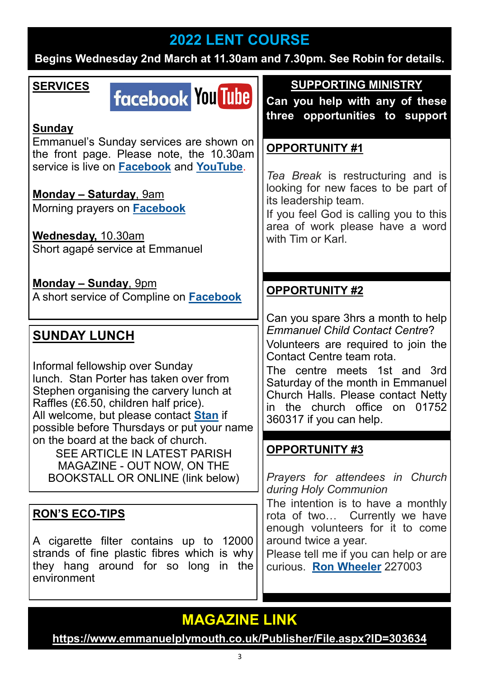#### **2022 LENT COURSE**

**Begins Wednesday 2nd March at 11.30am and 7.30pm. See Robin for details.**

#### **SERVICES**

### **facebook You Tube**

#### **Sunday**

Emmanuel's Sunday services are shown on the front page. Please note, the 10.30am service is live on **[Facebook](https://www.facebook.com/emmanuelwithstpauls/)** and **[YouTube](https://www.youtube.com/channel/UCqTPdwPeUXD1TIFuG76xLfg)**.

#### **Monday – Saturday**, 9am Morning prayers on **[Facebook](https://www.facebook.com/emmanuelwithstpauls/)**

**Wednesday,** 10.30am Short agapé service at Emmanuel

**Monday – Sunday**, 9pm A short service of Compline on **[Facebook](https://www.facebook.com/emmanuelwithstpauls/)**

#### **SUNDAY LUNCH**

Informal fellowship over Sunday lunch. Stan Porter has taken over from Stephen organising the carvery lunch at Raffles (£6.50, children half price). All welcome, but please contact **[Stan](mailto:stanlaptop@blueyonder.co.uk)** if possible before Thursdays or put your name on the board at the back of church. SEE ARTICLE IN LATEST PARISH

MAGAZINE - OUT NOW, ON THE BOOKSTALL OR ONLINE (link below)

#### **RON'S ECO-TIPS**

A cigarette filter contains up to 12000 strands of fine plastic fibres which is why they hang around for so long in the environment

**SUPPORTING MINISTRY**

**Can you help with any of these three opportunities to support** 

#### **OPPORTUNITY #1**

*Tea Break* is restructuring and is looking for new faces to be part of its leadership team.

If you feel God is calling you to this area of work please have a word with Tim or Karl.

#### **OPPORTUNITY #2**

Can you spare 3hrs a month to help *Emmanuel Child Contact Centre*? Volunteers are required to join the Contact Centre team rota.

The centre meets 1st and 3rd Saturday of the month in Emmanuel Church Halls. Please contact Netty in the church office on 01752 360317 if you can help.

#### **OPPORTUNITY #3**

*Prayers for attendees in Church during Holy Communion*

The intention is to have a monthly rota of two… Currently we have enough volunteers for it to come around twice a year.

Please tell me if you can help or are curious. **[Ron Wheeler](mailto:ronwheeler10@gmail.com)** 227003

#### **MAGAZINE LINK**

**<https://www.emmanuelplymouth.co.uk/Publisher/File.aspx?ID=303634>**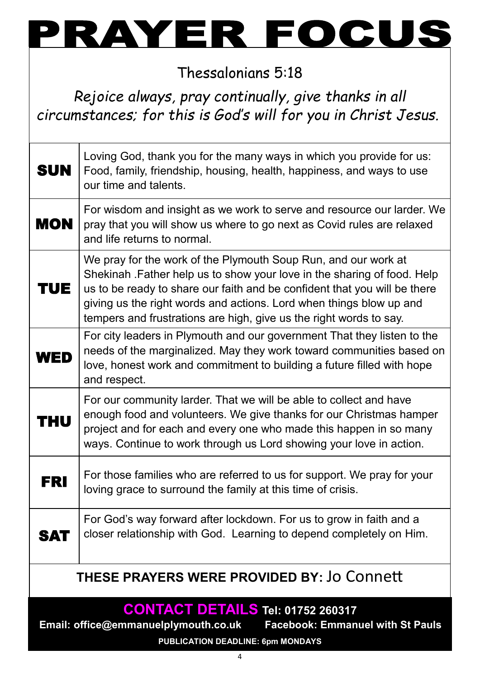

Thessalonians 5:18

*Rejoice always, pray continually, give thanks in all circumstances; for this is God's will for you in Christ Jesus.*

| <b>SUN</b>                                                                                                                                                              | Loving God, thank you for the many ways in which you provide for us:<br>Food, family, friendship, housing, health, happiness, and ways to use<br>our time and talents.                                                                                                                                                                                               |  |
|-------------------------------------------------------------------------------------------------------------------------------------------------------------------------|----------------------------------------------------------------------------------------------------------------------------------------------------------------------------------------------------------------------------------------------------------------------------------------------------------------------------------------------------------------------|--|
| <b>MON</b>                                                                                                                                                              | For wisdom and insight as we work to serve and resource our larder. We<br>pray that you will show us where to go next as Covid rules are relaxed<br>and life returns to normal.                                                                                                                                                                                      |  |
| TUE.                                                                                                                                                                    | We pray for the work of the Plymouth Soup Run, and our work at<br>Shekinah . Father help us to show your love in the sharing of food. Help<br>us to be ready to share our faith and be confident that you will be there<br>giving us the right words and actions. Lord when things blow up and<br>tempers and frustrations are high, give us the right words to say. |  |
| WED                                                                                                                                                                     | For city leaders in Plymouth and our government That they listen to the<br>needs of the marginalized. May they work toward communities based on<br>love, honest work and commitment to building a future filled with hope<br>and respect.                                                                                                                            |  |
| THU                                                                                                                                                                     | For our community larder. That we will be able to collect and have<br>enough food and volunteers. We give thanks for our Christmas hamper<br>project and for each and every one who made this happen in so many<br>ways. Continue to work through us Lord showing your love in action.                                                                               |  |
| FRI                                                                                                                                                                     | For those families who are referred to us for support. We pray for your<br>loving grace to surround the family at this time of crisis.                                                                                                                                                                                                                               |  |
| <b>SAT</b>                                                                                                                                                              | For God's way forward after lockdown. For us to grow in faith and a<br>closer relationship with God. Learning to depend completely on Him.                                                                                                                                                                                                                           |  |
| <b>THESE PRAYERS WERE PROVIDED BY: Jo Connett</b>                                                                                                                       |                                                                                                                                                                                                                                                                                                                                                                      |  |
| <b>CONTACT DETAILS Tel: 01752 260317</b><br>Email: office@emmanuelplymouth.co.uk<br><b>Facebook: Emmanuel with St Pauls</b><br><b>PUBLICATION DEADLINE: 6pm MONDAYS</b> |                                                                                                                                                                                                                                                                                                                                                                      |  |